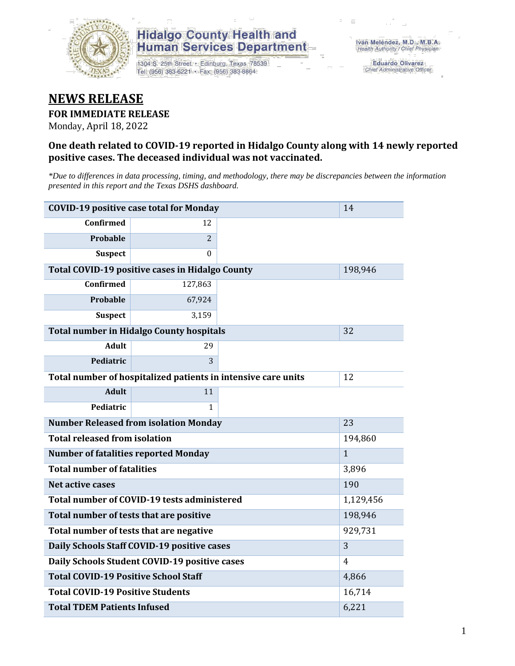

# **Hidalgo County Health and Human Services Department**

1304 S. 25th Street · Edinburg, Texas 78539 Tel: (956) 383-6221 · Fax: (956) 383-8864

**Eduardo Olivarez** Chief Administrative Officer

# **NEWS RELEASE**

## **FOR IMMEDIATE RELEASE**

Monday, April 18, 2022

## **One death related to COVID-19 reported in Hidalgo County along with 14 newly reported positive cases. The deceased individual was not vaccinated.**

*\*Due to differences in data processing, timing, and methodology, there may be discrepancies between the information presented in this report and the Texas DSHS dashboard.*

| <b>COVID-19 positive case total for Monday</b>  | 14                                                            |              |     |
|-------------------------------------------------|---------------------------------------------------------------|--------------|-----|
| <b>Confirmed</b>                                | 12                                                            |              |     |
| Probable                                        | $\overline{2}$                                                |              |     |
| <b>Suspect</b>                                  | $\Omega$                                                      |              |     |
| Total COVID-19 positive cases in Hidalgo County |                                                               | 198,946      |     |
| <b>Confirmed</b>                                | 127,863                                                       |              |     |
| <b>Probable</b>                                 | 67,924                                                        |              |     |
| <b>Suspect</b>                                  | 3,159                                                         |              |     |
| <b>Total number in Hidalgo County hospitals</b> |                                                               | 32           |     |
| <b>Adult</b>                                    | 29                                                            |              |     |
| Pediatric                                       | 3                                                             |              |     |
|                                                 | Total number of hospitalized patients in intensive care units | 12           |     |
| <b>Adult</b>                                    | 11                                                            |              |     |
| Pediatric                                       | 1                                                             |              |     |
| <b>Number Released from isolation Monday</b>    |                                                               | 23           |     |
| <b>Total released from isolation</b>            |                                                               | 194,860      |     |
| <b>Number of fatalities reported Monday</b>     |                                                               | $\mathbf{1}$ |     |
| <b>Total number of fatalities</b>               |                                                               | 3,896        |     |
| <b>Net active cases</b>                         |                                                               |              | 190 |
| Total number of COVID-19 tests administered     |                                                               | 1,129,456    |     |
| Total number of tests that are positive         |                                                               | 198,946      |     |
| Total number of tests that are negative         |                                                               | 929,731      |     |
| Daily Schools Staff COVID-19 positive cases     | 3                                                             |              |     |
| Daily Schools Student COVID-19 positive cases   | 4                                                             |              |     |
| <b>Total COVID-19 Positive School Staff</b>     | 4,866                                                         |              |     |
| <b>Total COVID-19 Positive Students</b>         | 16,714                                                        |              |     |
| <b>Total TDEM Patients Infused</b>              | 6,221                                                         |              |     |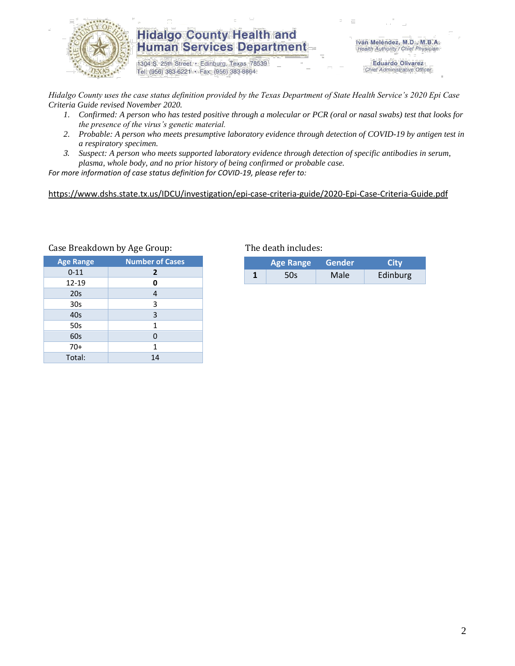

# **Hidalgo County Health and Human Services Department**

1304 S. 25th Street · Edinburg, Texas 78539 Tel: (956) 383-6221 · Fax: (956) 383-8864

Iván Meléndez, M.D., M.B.A. Health Authority / Chief Physician

> **Eduardo Olivarez** Chief Administrative Officer

*Hidalgo County uses the case status definition provided by the Texas Department of State Health Service's 2020 Epi Case Criteria Guide revised November 2020.*

- *1. Confirmed: A person who has tested positive through a molecular or PCR (oral or nasal swabs) test that looks for the presence of the virus's genetic material.*
- *2. Probable: A person who meets presumptive laboratory evidence through detection of COVID-19 by antigen test in a respiratory specimen.*
- *3. Suspect: A person who meets supported laboratory evidence through detection of specific antibodies in serum, plasma, whole body, and no prior history of being confirmed or probable case.*

*For more information of case status definition for COVID-19, please refer to:*

<https://www.dshs.state.tx.us/IDCU/investigation/epi-case-criteria-guide/2020-Epi-Case-Criteria-Guide.pdf>

| <b>Age Range</b> | <b>Number of Cases</b> |
|------------------|------------------------|
| $0 - 11$         | $\overline{2}$         |
| 12-19            | 0                      |
| 20 <sub>s</sub>  | $\overline{4}$         |
| 30 <sub>s</sub>  | 3                      |
| 40s              | 3                      |
| 50s              | 1                      |
| 60s              | 0                      |
| $70+$            | 1                      |
| Total:           | 14                     |

#### Case Breakdown by Age Group: The death includes:

| <b>Age Range</b> |     | Gender | City     |  |
|------------------|-----|--------|----------|--|
|                  | 50s | Male   | Edinburg |  |